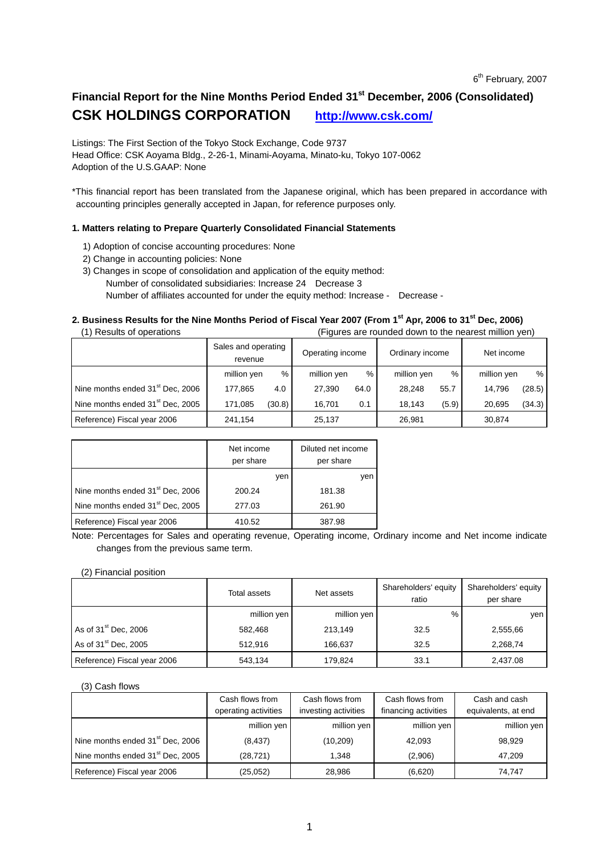## Financial Report for the Nine Months Period Ended 31<sup>st</sup> December, 2006 (Consolidated) **CSK HOLDINGS CORPORATION http://www.csk.com/**

Listings: The First Section of the Tokyo Stock Exchange, Code 9737 Head Office: CSK Aoyama Bldg., 2-26-1, Minami-Aoyama, Minato-ku, Tokyo 107-0062 Adoption of the U.S.GAAP: None

\*This financial report has been translated from the Japanese original, which has been prepared in accordance with accounting principles generally accepted in Japan, for reference purposes only.

### **1. Matters relating to Prepare Quarterly Consolidated Financial Statements**

- 1) Adoption of concise accounting procedures: None
- 2) Change in accounting policies: None
- 3) Changes in scope of consolidation and application of the equity method: Number of consolidated subsidiaries: Increase 24 Decrease 3 Number of affiliates accounted for under the equity method: Increase - Decrease -

### 2. Business Results for the Nine Months Period of Fiscal Year 2007 (From 1<sup>st</sup> Apr, 2006 to 31<sup>st</sup> Dec, 2006)

(1) Results of operations (Figures are rounded down to the nearest million yen)

|                                              | Sales and operating<br>revenue |        | Operating income |      | Ordinary income |       | Net income  |        |
|----------------------------------------------|--------------------------------|--------|------------------|------|-----------------|-------|-------------|--------|
|                                              | million yen                    | %      | million yen      | %    | million yen     | %     | million yen | %      |
| Nine months ended 31 <sup>st</sup> Dec, 2006 | 177.865                        | 4.0    | 27,390           | 64.0 | 28.248          | 55.7  | 14.796      | (28.5) |
| Nine months ended 31 <sup>st</sup> Dec, 2005 | 171,085                        | (30.8) | 16.701           | 0.1  | 18,143          | (5.9) | 20.695      | (34.3) |
| Reference) Fiscal year 2006                  | 241,154                        |        | 25,137           |      | 26,981          |       | 30.874      |        |

|                                              | Net income<br>per share | Diluted net income<br>per share |
|----------------------------------------------|-------------------------|---------------------------------|
|                                              | yen                     | yen                             |
| Nine months ended 31 <sup>st</sup> Dec, 2006 | 200.24                  | 181.38                          |
| Nine months ended 31 <sup>st</sup> Dec, 2005 | 277.03                  | 261.90                          |
| Reference) Fiscal year 2006                  | 410.52                  | 387.98                          |

Note: Percentages for Sales and operating revenue, Operating income, Ordinary income and Net income indicate changes from the previous same term.

### (2) Financial position

|                             | Total assets | Net assets  | Shareholders' equity<br>ratio | Shareholders' equity<br>per share |
|-----------------------------|--------------|-------------|-------------------------------|-----------------------------------|
|                             | million yen  | million yen | $\%$                          | ven                               |
| As of $31st$ Dec, 2006      | 582,468      | 213,149     | 32.5                          | 2,555,66                          |
| As of $31st$ Dec, 2005      | 512.916      | 166.637     | 32.5                          | 2,268,74                          |
| Reference) Fiscal year 2006 | 543,134      | 179.824     | 33.1                          | 2,437.08                          |

#### (3) Cash flows

| $\sqrt{2}$ and $\sqrt{2}$                    |                      |                      |                      |                     |  |
|----------------------------------------------|----------------------|----------------------|----------------------|---------------------|--|
|                                              | Cash flows from      | Cash flows from      | Cash flows from      | Cash and cash       |  |
|                                              | operating activities | investing activities | financing activities | equivalents, at end |  |
|                                              | million yen          | million yen          | million yen          | million yen         |  |
| Nine months ended 31 <sup>st</sup> Dec, 2006 | (8, 437)             | (10, 209)            | 42.093               | 98.929              |  |
| Nine months ended 31 <sup>st</sup> Dec, 2005 | (28, 721)            | 1.348                | (2,906)              | 47.209              |  |
| Reference) Fiscal year 2006                  | (25, 052)            | 28,986               | (6,620)              | 74.747              |  |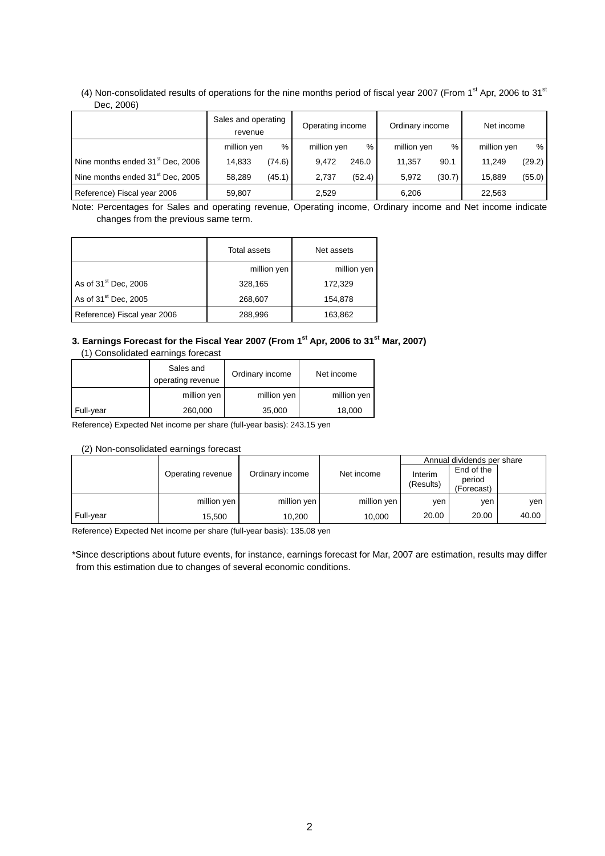### (4) Non-consolidated results of operations for the nine months period of fiscal year 2007 (From 1<sup>st</sup> Apr, 2006 to 31<sup>st</sup> Dec, 2006)

|                                              | Sales and operating<br>revenue |        | Operating income |        | Ordinary income |        | Net income  |        |
|----------------------------------------------|--------------------------------|--------|------------------|--------|-----------------|--------|-------------|--------|
|                                              | million yen                    | %      | million yen      | %      | million yen     | %      | million yen | %      |
| Nine months ended 31 <sup>st</sup> Dec, 2006 | 14.833                         | (74.6) | 9.472            | 246.0  | 11.357          | 90.1   | 11.249      | (29.2) |
| Nine months ended 31 <sup>st</sup> Dec, 2005 | 58,289                         | (45.1) | 2,737            | (52.4) | 5,972           | (30.7) | 15.889      | (55.0) |
| Reference) Fiscal year 2006                  | 59,807                         |        | 2,529            |        | 6.206           |        | 22,563      |        |

Note: Percentages for Sales and operating revenue, Operating income, Ordinary income and Net income indicate changes from the previous same term.

|                                  | Total assets | Net assets  |
|----------------------------------|--------------|-------------|
|                                  | million yen  | million yen |
| As of 31 <sup>st</sup> Dec, 2006 | 328,165      | 172,329     |
| As of 31 <sup>st</sup> Dec, 2005 | 268,607      | 154,878     |
| Reference) Fiscal year 2006      | 288,996      | 163.862     |

#### 3. Earnings Forecast for the Fiscal Year 2007 (From 1<sup>st</sup> Apr, 2006 to 31<sup>st</sup> Mar, 2007) (1) Consolidated earnings forecast

|           | , r, oonoonaatoa camiingo iorooaot |                 |             |
|-----------|------------------------------------|-----------------|-------------|
|           | Sales and<br>operating revenue     | Ordinary income | Net income  |
|           | million yen                        | million yen     | million yen |
| Full-year | 260,000                            | 35,000          | 18,000      |

Reference) Expected Net income per share (full-year basis): 243.15 yen

### (2) Non-consolidated earnings forecast

|           |                   |                 |             | Annual dividends per share |                                    |       |  |
|-----------|-------------------|-----------------|-------------|----------------------------|------------------------------------|-------|--|
|           | Operating revenue | Ordinary income | Net income  | Interim<br>(Results)       | End of the<br>period<br>(Forecast) |       |  |
|           | million yen       | million yen     | million yen | ven                        | ven                                | ven   |  |
| Full-year | 15.500            | 10.200          | 10.000      | 20.00                      | 20.00                              | 40.00 |  |

Reference) Expected Net income per share (full-year basis): 135.08 yen

\*Since descriptions about future events, for instance, earnings forecast for Mar, 2007 are estimation, results may differ from this estimation due to changes of several economic conditions.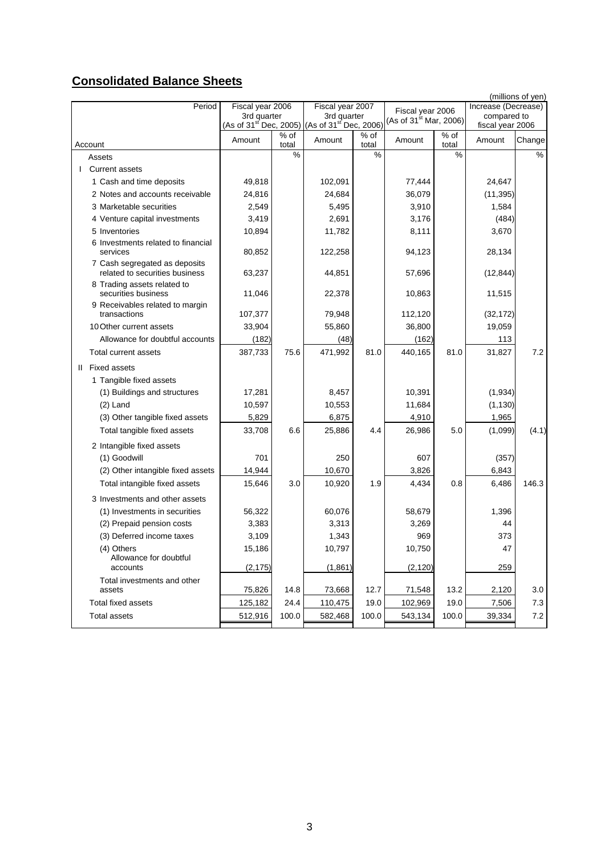# **Consolidated Balance Sheets**

|                                                                 |                                                                                                  |               |                  |                            |                             |               |                                 | (millions of yen) |
|-----------------------------------------------------------------|--------------------------------------------------------------------------------------------------|---------------|------------------|----------------------------|-----------------------------|---------------|---------------------------------|-------------------|
| Period                                                          | Fiscal year 2006                                                                                 |               | Fiscal year 2007 |                            | Fiscal year 2006            |               | Increase (Decrease)             |                   |
|                                                                 | 3rd quarter 3rd quarter<br>(As of 31 <sup>st</sup> Dec, 2005) (As of 31 <sup>st</sup> Dec, 2006) |               |                  |                            | (As of $31^{st}$ Mar, 2006) |               | compared to<br>fiscal year 2006 |                   |
| Account                                                         | Amount                                                                                           | % of<br>total | Amount           | $\frac{1}{\%}$ of<br>total | Amount                      | % of<br>total | Amount                          | Change            |
| Assets                                                          |                                                                                                  | $\frac{0}{0}$ |                  | %                          |                             | %             |                                 | $\frac{9}{6}$     |
| <b>Current assets</b>                                           |                                                                                                  |               |                  |                            |                             |               |                                 |                   |
| 1 Cash and time deposits                                        | 49,818                                                                                           |               | 102,091          |                            | 77,444                      |               | 24,647                          |                   |
| 2 Notes and accounts receivable                                 | 24,816                                                                                           |               | 24,684           |                            | 36,079                      |               | (11, 395)                       |                   |
| 3 Marketable securities                                         | 2,549                                                                                            |               | 5,495            |                            | 3,910                       |               | 1,584                           |                   |
| 4 Venture capital investments                                   | 3,419                                                                                            |               | 2,691            |                            | 3,176                       |               | (484)                           |                   |
| 5 Inventories                                                   | 10,894                                                                                           |               | 11,782           |                            | 8,111                       |               | 3,670                           |                   |
| 6 Investments related to financial<br>services                  | 80,852                                                                                           |               | 122,258          |                            | 94,123                      |               | 28,134                          |                   |
| 7 Cash segregated as deposits<br>related to securities business | 63,237                                                                                           |               | 44,851           |                            | 57,696                      |               | (12, 844)                       |                   |
| 8 Trading assets related to<br>securities business              | 11,046                                                                                           |               | 22,378           |                            | 10,863                      |               | 11,515                          |                   |
| 9 Receivables related to margin<br>transactions                 | 107,377                                                                                          |               | 79,948           |                            | 112,120                     |               | (32, 172)                       |                   |
| 10 Other current assets                                         | 33,904                                                                                           |               | 55,860           |                            | 36,800                      |               | 19,059                          |                   |
| Allowance for doubtful accounts                                 | (182)                                                                                            |               | (48)             |                            | (162)                       |               | 113                             |                   |
| Total current assets                                            | 387,733                                                                                          | 75.6          | 471,992          | 81.0                       | 440,165                     | 81.0          | 31,827                          | 7.2               |
| II Fixed assets                                                 |                                                                                                  |               |                  |                            |                             |               |                                 |                   |
| 1 Tangible fixed assets                                         |                                                                                                  |               |                  |                            |                             |               |                                 |                   |
| (1) Buildings and structures                                    | 17,281                                                                                           |               | 8,457            |                            | 10,391                      |               | (1,934)                         |                   |
| $(2)$ Land                                                      | 10,597                                                                                           |               | 10,553           |                            | 11,684                      |               | (1, 130)                        |                   |
| (3) Other tangible fixed assets                                 | 5,829                                                                                            |               | 6,875            |                            | 4,910                       |               | 1,965                           |                   |
| Total tangible fixed assets                                     | 33,708                                                                                           | 6.6           | 25,886           | 4.4                        | 26,986                      | 5.0           | (1,099)                         | (4.1)             |
| 2 Intangible fixed assets                                       |                                                                                                  |               |                  |                            |                             |               |                                 |                   |
| (1) Goodwill                                                    | 701                                                                                              |               | 250              |                            | 607                         |               | (357)                           |                   |
| (2) Other intangible fixed assets                               | 14,944                                                                                           |               | 10,670           |                            | 3,826                       |               | 6,843                           |                   |
| Total intangible fixed assets                                   | 15,646                                                                                           | 3.0           | 10,920           | 1.9                        | 4,434                       | 0.8           | 6,486                           | 146.3             |
| 3 Investments and other assets                                  |                                                                                                  |               |                  |                            |                             |               |                                 |                   |
| (1) Investments in securities                                   | 56,322                                                                                           |               | 60,076           |                            | 58,679                      |               | 1,396                           |                   |
| (2) Prepaid pension costs                                       | 3,383                                                                                            |               | 3,313            |                            | 3,269                       |               | 44                              |                   |
| (3) Deferred income taxes                                       | 3,109                                                                                            |               | 1,343            |                            | 969                         |               | 373                             |                   |
| (4) Others<br>Allowance for doubtful                            | 15,186                                                                                           |               | 10,797           |                            | 10,750                      |               | 47                              |                   |
| accounts                                                        | (2, 175)                                                                                         |               | (1,861)          |                            | (2, 120)                    |               | 259                             |                   |
| Total investments and other<br>assets                           | 75,826                                                                                           | 14.8          | 73,668           | 12.7                       | 71,548                      | 13.2          | 2,120                           | 3.0               |
| Total fixed assets                                              | 125,182                                                                                          | 24.4          | 110,475          | 19.0                       | 102,969                     | 19.0          | 7,506                           | 7.3               |
| <b>Total assets</b>                                             | 512,916                                                                                          | 100.0         | 582,468          | 100.0                      | 543,134                     | 100.0         | 39,334                          | 7.2               |
|                                                                 |                                                                                                  |               |                  |                            |                             |               |                                 |                   |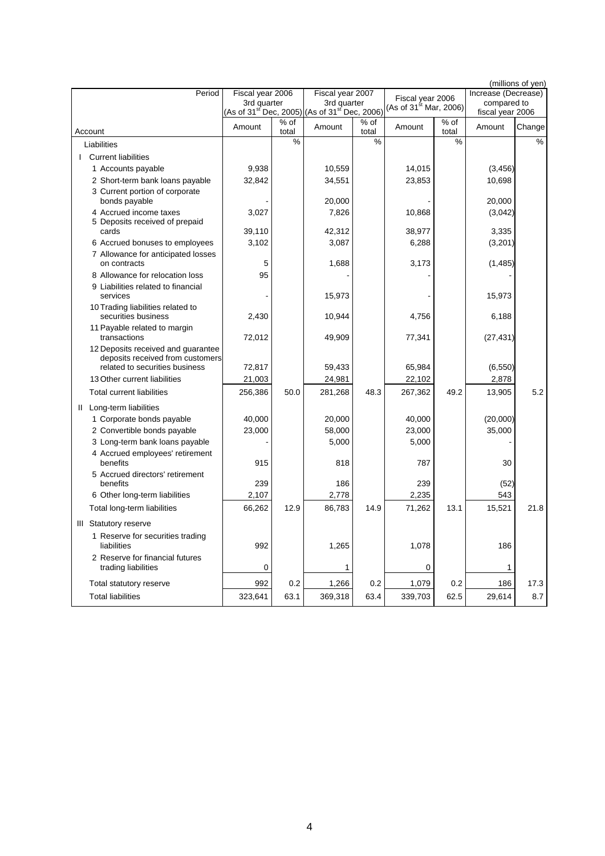|                                                                                                          |                  |               |                                                                                                  |               |                                    |               |                                 | (millions of yen) |
|----------------------------------------------------------------------------------------------------------|------------------|---------------|--------------------------------------------------------------------------------------------------|---------------|------------------------------------|---------------|---------------------------------|-------------------|
| Period                                                                                                   | Fiscal year 2006 |               | Fiscal year 2007                                                                                 |               | Fiscal year 2006                   |               | Increase (Decrease)             |                   |
|                                                                                                          |                  |               | 3rd quarter 3rd quarter<br>(As of 31 <sup>st</sup> Dec, 2005) (As of 31 <sup>st</sup> Dec, 2006) |               | (As of 31 <sup>st</sup> Mar, 2006) |               | compared to<br>fiscal year 2006 |                   |
| Account                                                                                                  | Amount           | % of<br>total | Amount                                                                                           | % of<br>total | Amount                             | % of<br>total | Amount                          | Change            |
| Liabilities                                                                                              |                  | %             |                                                                                                  | %             |                                    | %             |                                 | %                 |
| <b>I</b> Current liabilities                                                                             |                  |               |                                                                                                  |               |                                    |               |                                 |                   |
| 1 Accounts payable                                                                                       | 9,938            |               | 10,559                                                                                           |               | 14,015                             |               | (3, 456)                        |                   |
| 2 Short-term bank loans payable                                                                          | 32,842           |               | 34,551                                                                                           |               | 23,853                             |               | 10,698                          |                   |
| 3 Current portion of corporate<br>bonds payable                                                          |                  |               | 20,000                                                                                           |               |                                    |               | 20,000                          |                   |
| 4 Accrued income taxes                                                                                   | 3,027            |               | 7,826                                                                                            |               | 10,868                             |               | (3,042)                         |                   |
| 5 Deposits received of prepaid<br>cards                                                                  | 39.110           |               | 42,312                                                                                           |               | 38,977                             |               | 3,335                           |                   |
| 6 Accrued bonuses to employees                                                                           | 3,102            |               | 3,087                                                                                            |               | 6,288                              |               | (3,201)                         |                   |
| 7 Allowance for anticipated losses<br>on contracts                                                       | 5                |               | 1,688                                                                                            |               | 3,173                              |               | (1,485)                         |                   |
| 8 Allowance for relocation loss                                                                          | 95               |               |                                                                                                  |               |                                    |               |                                 |                   |
| 9 Liabilities related to financial<br>services                                                           |                  |               | 15,973                                                                                           |               |                                    |               | 15,973                          |                   |
| 10 Trading liabilities related to<br>securities business                                                 | 2.430            |               | 10,944                                                                                           |               | 4,756                              |               | 6,188                           |                   |
| 11 Payable related to margin<br>transactions                                                             | 72,012           |               | 49,909                                                                                           |               | 77,341                             |               | (27, 431)                       |                   |
| 12 Deposits received and guarantee<br>deposits received from customers<br>related to securities business | 72,817           |               | 59,433                                                                                           |               | 65,984                             |               | (6, 550)                        |                   |
| 13 Other current liabilities                                                                             | 21,003           |               | 24,981                                                                                           |               | 22,102                             |               | 2,878                           |                   |
| <b>Total current liabilities</b>                                                                         | 256,386          | 50.0          | 281,268                                                                                          | 48.3          | 267,362                            | 49.2          | 13,905                          | 5.2               |
| II Long-term liabilities                                                                                 |                  |               |                                                                                                  |               |                                    |               |                                 |                   |
| 1 Corporate bonds payable                                                                                | 40,000           |               | 20,000                                                                                           |               | 40,000                             |               | (20,000)                        |                   |
| 2 Convertible bonds payable                                                                              | 23,000           |               | 58,000                                                                                           |               | 23,000                             |               | 35,000                          |                   |
| 3 Long-term bank loans payable                                                                           |                  |               | 5,000                                                                                            |               | 5,000                              |               |                                 |                   |
| 4 Accrued employees' retirement<br>benefits                                                              | 915              |               | 818                                                                                              |               | 787                                |               | 30                              |                   |
| 5 Accrued directors' retirement                                                                          |                  |               |                                                                                                  |               |                                    |               |                                 |                   |
| benefits<br>6 Other long-term liabilities                                                                | 239<br>2,107     |               | 186<br>2,778                                                                                     |               | 239<br>2,235                       |               | (52)<br>543                     |                   |
| Total long-term liabilities                                                                              | 66,262           | 12.9          | 86,783                                                                                           | 14.9          | 71,262                             | 13.1          | 15,521                          | 21.8              |
|                                                                                                          |                  |               |                                                                                                  |               |                                    |               |                                 |                   |
| III Statutory reserve                                                                                    |                  |               |                                                                                                  |               |                                    |               |                                 |                   |
| 1 Reserve for securities trading<br>liabilities                                                          | 992              |               | 1,265                                                                                            |               | 1,078                              |               | 186                             |                   |
| 2 Reserve for financial futures<br>trading liabilities                                                   | $\mathbf 0$      |               | 1                                                                                                |               | 0                                  |               | 1                               |                   |
| Total statutory reserve                                                                                  | 992              | 0.2           | 1,266                                                                                            | 0.2           | 1,079                              | 0.2           | 186                             | 17.3              |
| <b>Total liabilities</b>                                                                                 | 323,641          | 63.1          | 369,318                                                                                          | 63.4          | 339,703                            | 62.5          | 29,614                          | 8.7               |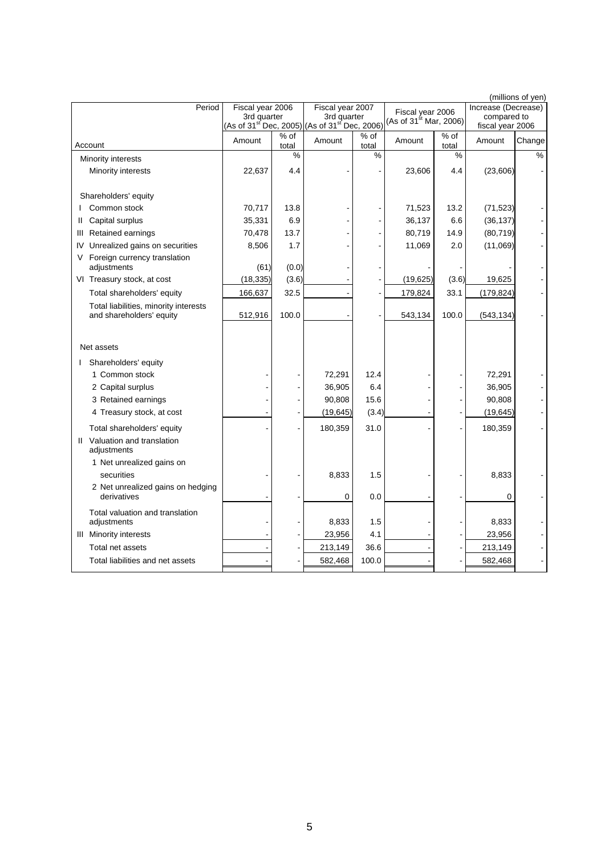|                                                                   |                  |                 |                                                                                        |               |                                       |               |                                 | (millions of yen) |
|-------------------------------------------------------------------|------------------|-----------------|----------------------------------------------------------------------------------------|---------------|---------------------------------------|---------------|---------------------------------|-------------------|
| Period                                                            | Fiscal year 2006 |                 | Fiscal year 2007                                                                       |               | Fiscal year 2006                      |               | Increase (Decrease)             |                   |
|                                                                   | 3rd quarter      |                 | 3rd quarter<br>(As of 31 <sup>st'</sup> Dec, 2005) (As of 31 <sup>st'</sup> Dec, 2006) |               | (As of 31 $\mathrm{^{st}}$ Mar, 2006) |               | compared to<br>fiscal year 2006 |                   |
| Account                                                           | Amount           | $%$ of<br>total | Amount                                                                                 | % of<br>total | Amount                                | % of<br>total | Amount                          | Change            |
| Minority interests                                                |                  | %               |                                                                                        | $\%$          |                                       | %             |                                 | %                 |
| Minority interests                                                | 22,637           | 4.4             |                                                                                        |               | 23,606                                | 4.4           | (23,606)                        |                   |
|                                                                   |                  |                 |                                                                                        |               |                                       |               |                                 |                   |
| Shareholders' equity                                              |                  |                 |                                                                                        |               |                                       |               |                                 |                   |
| Common stock                                                      | 70,717           | 13.8            |                                                                                        |               | 71,523                                | 13.2          | (71, 523)                       |                   |
| Capital surplus<br>Ш                                              | 35,331           | 6.9             |                                                                                        |               | 36,137                                | 6.6           | (36, 137)                       |                   |
| Retained earnings<br>Ш                                            | 70,478           | 13.7            |                                                                                        |               | 80,719                                | 14.9          | (80, 719)                       |                   |
| Unrealized gains on securities<br>IV                              | 8,506            | 1.7             |                                                                                        |               | 11,069                                | 2.0           | (11,069)                        |                   |
| Foreign currency translation<br>V                                 |                  |                 |                                                                                        |               |                                       |               |                                 |                   |
| adjustments                                                       | (61)             | (0.0)           |                                                                                        |               |                                       |               |                                 |                   |
| VI Treasury stock, at cost                                        | (18, 335)        | (3.6)           |                                                                                        |               | (19, 625)                             | (3.6)         | 19,625                          |                   |
| Total shareholders' equity                                        | 166,637          | 32.5            |                                                                                        |               | 179,824                               | 33.1          | (179, 824)                      |                   |
| Total liabilities, minority interests<br>and shareholders' equity | 512,916          | 100.0           |                                                                                        |               | 543,134                               | 100.0         | (543, 134)                      |                   |
|                                                                   |                  |                 |                                                                                        |               |                                       |               |                                 |                   |
|                                                                   |                  |                 |                                                                                        |               |                                       |               |                                 |                   |
| Net assets                                                        |                  |                 |                                                                                        |               |                                       |               |                                 |                   |
| I Shareholders' equity                                            |                  |                 |                                                                                        |               |                                       |               |                                 |                   |
| 1 Common stock                                                    |                  |                 | 72,291                                                                                 | 12.4          |                                       |               | 72,291                          |                   |
| 2 Capital surplus                                                 |                  |                 | 36,905                                                                                 | 6.4           |                                       |               | 36,905                          |                   |
| 3 Retained earnings                                               |                  |                 | 90,808                                                                                 | 15.6          |                                       |               | 90,808                          |                   |
| 4 Treasury stock, at cost                                         |                  |                 | (19, 645)                                                                              | (3.4)         |                                       |               | (19, 645)                       |                   |
| Total shareholders' equity                                        |                  |                 | 180,359                                                                                | 31.0          |                                       |               | 180,359                         |                   |
| II Valuation and translation<br>adjustments                       |                  |                 |                                                                                        |               |                                       |               |                                 |                   |
| 1 Net unrealized gains on                                         |                  |                 |                                                                                        |               |                                       |               |                                 |                   |
| securities                                                        |                  |                 | 8,833                                                                                  | 1.5           |                                       |               | 8,833                           |                   |
| 2 Net unrealized gains on hedging                                 |                  |                 |                                                                                        |               |                                       |               |                                 |                   |
| derivatives                                                       |                  |                 | 0                                                                                      | 0.0           |                                       |               | 0                               |                   |
| Total valuation and translation                                   |                  |                 |                                                                                        |               |                                       |               |                                 |                   |
| adjustments                                                       |                  |                 | 8,833                                                                                  | 1.5           |                                       |               | 8,833                           |                   |
| <b>III</b> Minority interests                                     |                  |                 | 23,956                                                                                 | 4.1           |                                       |               | 23,956                          |                   |
| Total net assets                                                  |                  |                 | 213,149                                                                                | 36.6          |                                       |               | 213,149                         |                   |
| Total liabilities and net assets                                  |                  |                 | 582,468                                                                                | 100.0         |                                       |               | 582,468                         |                   |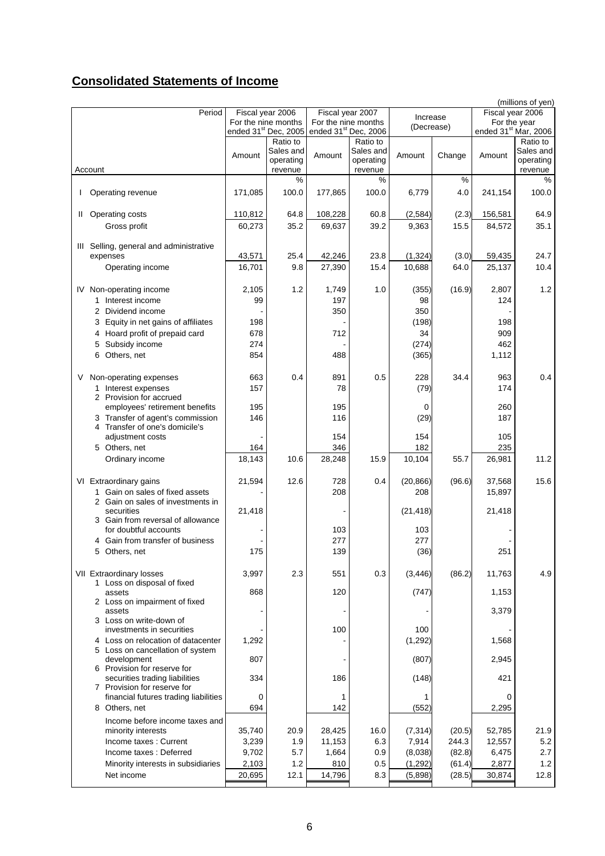# **Consolidated Statements of Income**

|   |                                                                      |         |                                  |                                  |                     |            |        |                                  | (millions of yen)                |  |
|---|----------------------------------------------------------------------|---------|----------------------------------|----------------------------------|---------------------|------------|--------|----------------------------------|----------------------------------|--|
|   | Period                                                               |         | Fiscal year 2006                 |                                  | Fiscal year 2007    | Increase   |        | Fiscal year 2006<br>For the year |                                  |  |
|   |                                                                      |         | For the nine months              |                                  | For the nine months | (Decrease) |        |                                  |                                  |  |
|   |                                                                      |         | ended 31 <sup>st</sup> Dec, 2005 | ended 31 <sup>st</sup> Dec, 2006 |                     |            |        |                                  | ended 31 <sup>st</sup> Mar, 2006 |  |
|   |                                                                      |         | Ratio to                         |                                  | Ratio to            |            |        |                                  | Ratio to                         |  |
|   |                                                                      | Amount  | Sales and                        | Amount                           | Sales and           | Amount     | Change | Amount                           | Sales and                        |  |
|   |                                                                      |         | operating                        |                                  | operating           |            |        |                                  | operating                        |  |
|   | Account                                                              |         | revenue                          |                                  | revenue             |            |        |                                  | revenue                          |  |
|   |                                                                      |         | %                                |                                  | %                   |            | %      |                                  | $\%$                             |  |
| L | Operating revenue                                                    | 171,085 | 100.0                            | 177,865                          | 100.0               | 6,779      | 4.0    | 241,154                          | 100.0                            |  |
|   |                                                                      |         |                                  |                                  |                     |            |        |                                  |                                  |  |
|   | II Operating costs                                                   | 110,812 | 64.8                             | 108,228                          | 60.8                | (2, 584)   | (2.3)  | 156,581                          | 64.9                             |  |
|   | Gross profit                                                         | 60,273  | 35.2                             | 69,637                           | 39.2                | 9,363      | 15.5   | 84,572                           | 35.1                             |  |
|   |                                                                      |         |                                  |                                  |                     |            |        |                                  |                                  |  |
|   | III Selling, general and administrative                              |         |                                  |                                  |                     |            |        |                                  |                                  |  |
|   | expenses                                                             | 43,571  | 25.4                             | 42,246                           | 23.8                | (1, 324)   | (3.0)  | 59,435                           | 24.7                             |  |
|   |                                                                      |         |                                  |                                  |                     |            |        |                                  |                                  |  |
|   | Operating income                                                     | 16,701  | 9.8                              | 27,390                           | 15.4                | 10,688     | 64.0   | 25,137                           | 10.4                             |  |
|   |                                                                      |         |                                  |                                  |                     |            |        |                                  |                                  |  |
|   | IV Non-operating income                                              | 2,105   | 1.2                              | 1,749                            | 1.0                 | (355)      | (16.9) | 2,807                            | 1.2                              |  |
|   | 1 Interest income                                                    | 99      |                                  | 197                              |                     | 98         |        | 124                              |                                  |  |
|   | 2 Dividend income                                                    |         |                                  | 350                              |                     | 350        |        |                                  |                                  |  |
|   | 3 Equity in net gains of affiliates                                  | 198     |                                  |                                  |                     | (198)      |        | 198                              |                                  |  |
|   | 4 Hoard profit of prepaid card                                       | 678     |                                  | 712                              |                     | 34         |        | 909                              |                                  |  |
|   | Subsidy income<br>5                                                  | 274     |                                  |                                  |                     | (274)      |        | 462                              |                                  |  |
|   |                                                                      |         |                                  |                                  |                     |            |        |                                  |                                  |  |
|   | 6<br>Others, net                                                     | 854     |                                  | 488                              |                     | (365)      |        | 1,112                            |                                  |  |
|   |                                                                      |         |                                  |                                  |                     |            |        |                                  |                                  |  |
| V | Non-operating expenses                                               | 663     | 0.4                              | 891                              | 0.5                 | 228        | 34.4   | 963                              | 0.4                              |  |
|   | 1 Interest expenses                                                  | 157     |                                  | 78                               |                     | (79)       |        | 174                              |                                  |  |
|   | 2 Provision for accrued                                              |         |                                  |                                  |                     |            |        |                                  |                                  |  |
|   | employees' retirement benefits                                       | 195     |                                  | 195                              |                     | 0          |        | 260                              |                                  |  |
|   | 3 Transfer of agent's commission                                     | 146     |                                  | 116                              |                     | (29)       |        | 187                              |                                  |  |
|   | 4 Transfer of one's domicile's                                       |         |                                  |                                  |                     |            |        |                                  |                                  |  |
|   | adjustment costs                                                     |         |                                  | 154                              |                     | 154        |        | 105                              |                                  |  |
|   | 5 Others, net                                                        | 164     |                                  | 346                              |                     | 182        |        | 235                              |                                  |  |
|   | Ordinary income                                                      | 18,143  | 10.6                             | 28,248                           | 15.9                | 10,104     | 55.7   | 26,981                           | 11.2                             |  |
|   |                                                                      |         |                                  |                                  |                     |            |        |                                  |                                  |  |
|   | VI Extraordinary gains                                               | 21,594  | 12.6                             | 728                              | 0.4                 | (20, 866)  | (96.6) | 37,568                           | 15.6                             |  |
|   |                                                                      |         |                                  |                                  |                     |            |        |                                  |                                  |  |
|   | 1 Gain on sales of fixed assets                                      |         |                                  | 208                              |                     | 208        |        | 15,897                           |                                  |  |
|   | 2 Gain on sales of investments in<br>securities                      | 21,418  |                                  |                                  |                     | (21, 418)  |        | 21,418                           |                                  |  |
|   | 3 Gain from reversal of allowance                                    |         |                                  |                                  |                     |            |        |                                  |                                  |  |
|   | for doubtful accounts                                                |         |                                  | 103                              |                     | 103        |        |                                  |                                  |  |
|   | 4 Gain from transfer of business                                     |         |                                  | 277                              |                     | 277        |        |                                  |                                  |  |
|   |                                                                      |         |                                  |                                  |                     |            |        |                                  |                                  |  |
|   | 5 Others, net                                                        | 175     |                                  | 139                              |                     | (36)       |        | 251                              |                                  |  |
|   |                                                                      |         |                                  |                                  |                     |            |        |                                  |                                  |  |
|   | VII Extraordinary losses                                             | 3,997   | 2.3                              | 551                              | 0.3                 | (3, 446)   | (86.2) | 11,763                           | 4.9                              |  |
|   | 1 Loss on disposal of fixed                                          |         |                                  |                                  |                     |            |        |                                  |                                  |  |
|   | assets                                                               | 868     |                                  | 120                              |                     | (747)      |        | 1,153                            |                                  |  |
|   | 2 Loss on impairment of fixed                                        |         |                                  |                                  |                     |            |        |                                  |                                  |  |
|   | assets                                                               |         |                                  |                                  |                     |            |        | 3,379                            |                                  |  |
|   | 3 Loss on write-down of                                              |         |                                  |                                  |                     |            |        |                                  |                                  |  |
|   | investments in securities                                            |         |                                  | 100                              |                     | 100        |        |                                  |                                  |  |
|   | 4 Loss on relocation of datacenter                                   | 1,292   |                                  |                                  |                     | (1, 292)   |        | 1,568                            |                                  |  |
|   | 5 Loss on cancellation of system                                     |         |                                  |                                  |                     |            |        |                                  |                                  |  |
|   | development                                                          | 807     |                                  |                                  |                     | (807)      |        | 2,945                            |                                  |  |
|   | 6 Provision for reserve for                                          |         |                                  |                                  |                     |            |        |                                  |                                  |  |
|   | securities trading liabilities                                       | 334     |                                  | 186                              |                     | (148)      |        | 421                              |                                  |  |
|   | 7 Provision for reserve for<br>financial futures trading liabilities | 0       |                                  | 1                                |                     | 1          |        | 0                                |                                  |  |
|   |                                                                      |         |                                  |                                  |                     |            |        |                                  |                                  |  |
|   | 8 Others, net                                                        | 694     |                                  | 142                              |                     | (552)      |        | 2,295                            |                                  |  |
|   | Income before income taxes and                                       |         |                                  |                                  |                     |            |        |                                  |                                  |  |
|   | minority interests                                                   | 35,740  | 20.9                             | 28,425                           | 16.0                | (7, 314)   | (20.5) | 52,785                           | 21.9                             |  |
|   | Income taxes: Current                                                | 3,239   | 1.9                              | 11,153                           | 6.3                 | 7,914      | 244.3  | 12,557                           | 5.2                              |  |
|   | Income taxes: Deferred                                               | 9,702   | 5.7                              | 1,664                            | 0.9                 | (8,038)    | (82.8) | 6,475                            | 2.7                              |  |
|   | Minority interests in subsidiaries                                   | 2,103   | 1.2                              | 810                              | 0.5                 | (1, 292)   | (61.4) | 2,877                            | 1.2                              |  |
|   | Net income                                                           | 20,695  | 12.1                             | 14,796                           | 8.3                 | (5,898)    | (28.5) | 30,874                           | 12.8                             |  |
|   |                                                                      |         |                                  |                                  |                     |            |        |                                  |                                  |  |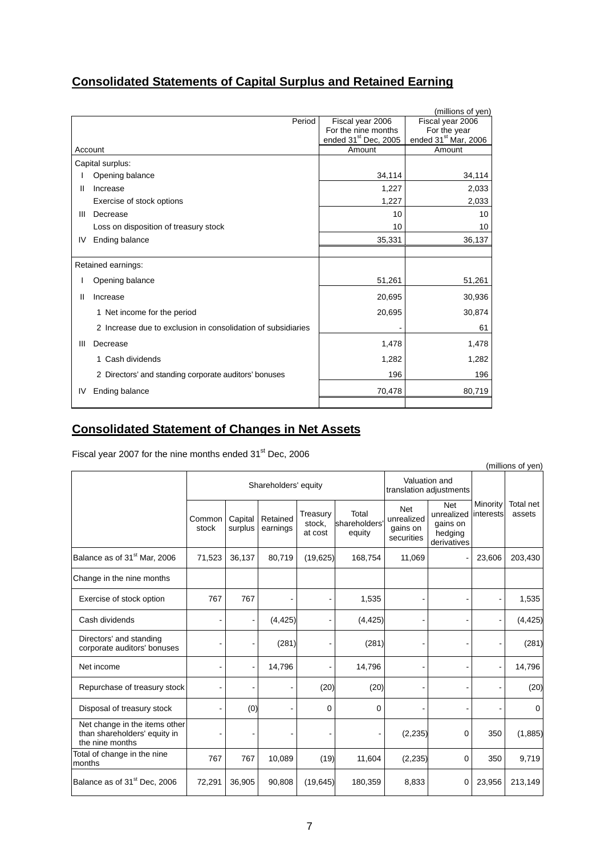## **Consolidated Statements of Capital Surplus and Retained Earning**

|    |                                                              |                                  | (millions of yen)                |
|----|--------------------------------------------------------------|----------------------------------|----------------------------------|
|    | Period                                                       | Fiscal year 2006                 | Fiscal year 2006                 |
|    |                                                              | For the nine months              | For the year                     |
|    |                                                              | ended 31 <sup>st</sup> Dec, 2005 | ended 31 <sup>st</sup> Mar, 2006 |
|    | Account                                                      | Amount                           | Amount                           |
|    | Capital surplus:                                             |                                  |                                  |
|    | Opening balance                                              | 34,114                           | 34,114                           |
| Ш  | Increase                                                     | 1,227                            | 2,033                            |
|    | Exercise of stock options                                    | 1,227                            | 2,033                            |
| Ш  | Decrease                                                     | 10                               | 10                               |
|    | Loss on disposition of treasury stock                        | 10                               | 10                               |
| IV | Ending balance                                               | 35,331                           | 36,137                           |
|    |                                                              |                                  |                                  |
|    | Retained earnings:                                           |                                  |                                  |
|    | Opening balance                                              | 51,261                           | 51,261                           |
| Ш  | Increase                                                     | 20,695                           | 30,936                           |
|    | 1 Net income for the period                                  | 20,695                           | 30,874                           |
|    | 2 Increase due to exclusion in consolidation of subsidiaries |                                  | 61                               |
| Ш  | Decrease                                                     | 1,478                            | 1,478                            |
|    | 1 Cash dividends                                             | 1,282                            | 1,282                            |
|    | 2 Directors' and standing corporate auditors' bonuses        | 196                              | 196                              |
| IV | <b>Ending balance</b>                                        | 70,478                           | 80,719                           |
|    |                                                              |                                  |                                  |

## **Consolidated Statement of Changes in Net Assets**

Fiscal year 2007 for the nine months ended 31<sup>st</sup> Dec, 2006

| (millions of yen)                                                                |                 |                      |                                          |                               |                                 |                                                    |                                                                |                       |                     |  |  |
|----------------------------------------------------------------------------------|-----------------|----------------------|------------------------------------------|-------------------------------|---------------------------------|----------------------------------------------------|----------------------------------------------------------------|-----------------------|---------------------|--|--|
|                                                                                  |                 | Shareholders' equity | Valuation and<br>translation adjustments |                               |                                 |                                                    |                                                                |                       |                     |  |  |
|                                                                                  | Common<br>stock | Capital<br>surplus   | Retained<br>earnings                     | Treasury<br>stock.<br>at cost | Total<br>shareholders<br>equity | <b>Net</b><br>unrealized<br>gains on<br>securities | <b>Net</b><br>unrealized<br>gains on<br>hedging<br>derivatives | Minority<br>interests | Total net<br>assets |  |  |
| Balance as of 31 <sup>st</sup> Mar. 2006                                         | 71,523          | 36,137               | 80,719                                   | (19,625)                      | 168,754                         | 11,069                                             |                                                                | 23,606                | 203,430             |  |  |
| Change in the nine months                                                        |                 |                      |                                          |                               |                                 |                                                    |                                                                |                       |                     |  |  |
| Exercise of stock option                                                         | 767             | 767                  |                                          |                               | 1,535                           | $\blacksquare$                                     | ٠                                                              |                       | 1,535               |  |  |
| Cash dividends                                                                   |                 |                      | (4, 425)                                 |                               | (4, 425)                        |                                                    |                                                                |                       | (4, 425)            |  |  |
| Directors' and standing<br>corporate auditors' bonuses                           |                 |                      | (281)                                    |                               | (281)                           |                                                    |                                                                |                       | (281)               |  |  |
| Net income                                                                       |                 |                      | 14,796                                   |                               | 14,796                          | ٠                                                  |                                                                |                       | 14,796              |  |  |
| Repurchase of treasury stock                                                     |                 |                      |                                          | (20)                          | (20)                            |                                                    |                                                                |                       | (20)                |  |  |
| Disposal of treasury stock                                                       |                 | (0)                  |                                          | 0                             | 0                               |                                                    |                                                                |                       | 0                   |  |  |
| Net change in the items other<br>than shareholders' equity in<br>the nine months |                 |                      |                                          |                               |                                 | (2, 235)                                           | 0                                                              | 350                   | (1,885)             |  |  |
| Total of change in the nine<br>months                                            | 767             | 767                  | 10,089                                   | (19)                          | 11,604                          | (2,235)                                            | $\mathbf 0$                                                    | 350                   | 9,719               |  |  |
| Balance as of 31 <sup>st</sup> Dec, 2006                                         | 72,291          | 36,905               | 90,808                                   | (19, 645)                     | 180,359                         | 8,833                                              | 0                                                              | 23,956                | 213,149             |  |  |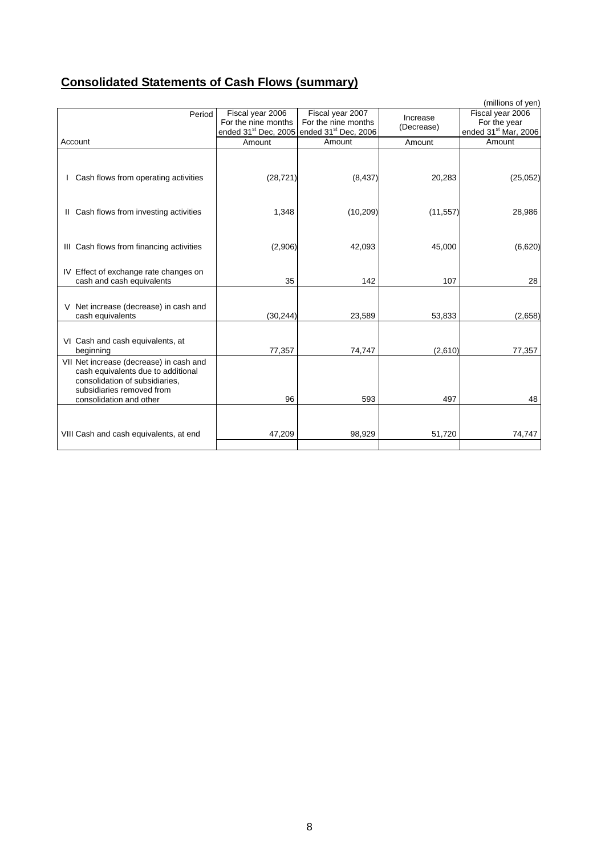# **Consolidated Statements of Cash Flows (summary)**

|                                                                                                                                                                         |                                         |                                                                                                              |                        | (millions of yen)                                                    |
|-------------------------------------------------------------------------------------------------------------------------------------------------------------------------|-----------------------------------------|--------------------------------------------------------------------------------------------------------------|------------------------|----------------------------------------------------------------------|
| Period                                                                                                                                                                  | Fiscal year 2006<br>For the nine months | Fiscal year 2007<br>For the nine months<br>ended 31 <sup>st</sup> Dec, 2005 ended 31 <sup>st</sup> Dec, 2006 | Increase<br>(Decrease) | Fiscal year 2006<br>For the year<br>ended 31 <sup>st</sup> Mar, 2006 |
| Account                                                                                                                                                                 | Amount                                  | Amount                                                                                                       | Amount                 | Amount                                                               |
| Cash flows from operating activities                                                                                                                                    | (28, 721)                               | (8, 437)                                                                                                     | 20,283                 | (25,052)                                                             |
| Cash flows from investing activities<br>Ш                                                                                                                               | 1,348                                   | (10, 209)                                                                                                    | (11, 557)              | 28,986                                                               |
| III Cash flows from financing activities                                                                                                                                | (2,906)                                 | 42,093                                                                                                       | 45,000                 | (6,620)                                                              |
| IV Effect of exchange rate changes on<br>cash and cash equivalents                                                                                                      | 35                                      | 142                                                                                                          | 107                    | 28                                                                   |
| Net increase (decrease) in cash and<br>V<br>cash equivalents                                                                                                            | (30, 244)                               | 23,589                                                                                                       | 53,833                 | (2,658)                                                              |
| VI Cash and cash equivalents, at<br>beginning                                                                                                                           | 77,357                                  | 74,747                                                                                                       | (2,610)                | 77,357                                                               |
| VII Net increase (decrease) in cash and<br>cash equivalents due to additional<br>consolidation of subsidiaries,<br>subsidiaries removed from<br>consolidation and other | 96                                      | 593                                                                                                          | 497                    | 48                                                                   |
| VIII Cash and cash equivalents, at end                                                                                                                                  | 47,209                                  | 98,929                                                                                                       | 51,720                 | 74,747                                                               |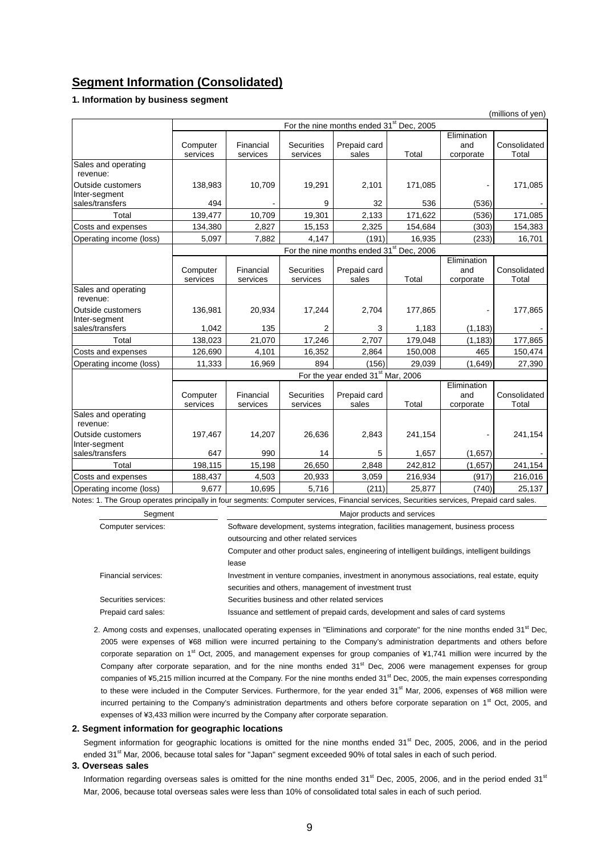### **Segment Information (Consolidated)**

### **1. Information by business segment**

|                                                                                                                                            |                      |                       |                               |                                                      |         |                                 | (millions of yen)     |
|--------------------------------------------------------------------------------------------------------------------------------------------|----------------------|-----------------------|-------------------------------|------------------------------------------------------|---------|---------------------------------|-----------------------|
|                                                                                                                                            |                      |                       |                               | For the nine months ended 31 <sup>st</sup> Dec, 2005 |         |                                 |                       |
|                                                                                                                                            | Computer<br>services | Financial<br>services | <b>Securities</b><br>services | Prepaid card<br>sales                                | Total   | Elimination<br>and<br>corporate | Consolidated<br>Total |
| Sales and operating<br>revenue:                                                                                                            |                      |                       |                               |                                                      |         |                                 |                       |
| Outside customers<br>Inter-segment                                                                                                         | 138,983              | 10,709                | 19,291                        | 2,101                                                | 171,085 |                                 | 171,085               |
| sales/transfers                                                                                                                            | 494                  |                       | 9                             | 32                                                   | 536     | (536)                           |                       |
| Total                                                                                                                                      | 139,477              | 10,709                | 19,301                        | 2,133                                                | 171,622 | (536)                           | 171,085               |
| Costs and expenses                                                                                                                         | 134,380              | 2,827                 | 15,153                        | 2,325                                                | 154,684 | (303)                           | 154,383               |
| Operating income (loss)                                                                                                                    | 5,097                | 7.882                 | 4,147                         | (191)                                                | 16,935  | (233)                           | 16,701                |
|                                                                                                                                            |                      |                       |                               | For the nine months ended 31 <sup>st</sup> Dec, 2006 |         |                                 |                       |
|                                                                                                                                            | Computer<br>services | Financial<br>services | <b>Securities</b><br>services | Prepaid card<br>sales                                | Total   | Elimination<br>and<br>corporate | Consolidated<br>Total |
| Sales and operating<br>revenue:                                                                                                            |                      |                       |                               |                                                      |         |                                 |                       |
| Outside customers<br>Inter-segment                                                                                                         | 136,981              | 20,934                | 17,244                        | 2,704                                                | 177,865 |                                 | 177,865               |
| sales/transfers                                                                                                                            | 1,042                | 135                   | 2                             | 3                                                    | 1,183   | (1, 183)                        |                       |
| Total                                                                                                                                      | 138,023              | 21,070                | 17,246                        | 2,707                                                | 179,048 | (1, 183)                        | 177,865               |
| Costs and expenses                                                                                                                         | 126,690              | 4,101                 | 16,352                        | 2,864                                                | 150,008 | 465                             | 150,474               |
| Operating income (loss)                                                                                                                    | 11,333               | 16,969                | 894                           | (156)                                                | 29,039  | (1,649)                         | 27,390                |
|                                                                                                                                            |                      |                       |                               | For the year ended 31 <sup>st</sup> Mar, 2006        |         |                                 |                       |
|                                                                                                                                            | Computer<br>services | Financial<br>services | <b>Securities</b><br>services | Prepaid card<br>sales                                | Total   | Elimination<br>and<br>corporate | Consolidated<br>Total |
| Sales and operating<br>revenue:                                                                                                            |                      |                       |                               |                                                      |         |                                 |                       |
| Outside customers<br>Inter-segment                                                                                                         | 197,467              | 14,207                | 26,636                        | 2,843                                                | 241,154 |                                 | 241,154               |
| sales/transfers                                                                                                                            | 647                  | 990                   | 14                            | 5                                                    | 1,657   | (1,657)                         |                       |
| Total                                                                                                                                      | 198,115              | 15,198                | 26,650                        | 2,848                                                | 242,812 | (1,657)                         | 241,154               |
| Costs and expenses                                                                                                                         | 188,437              | 4,503                 | 20,933                        | 3,059                                                | 216,934 | (917)                           | 216,016               |
| Operating income (loss)                                                                                                                    | 9.677                | 10.695                | 5,716                         | (211)                                                | 25,877  | (740)                           | 25,137                |
| Notes: 1. The Group operates principally in four segments: Computer services, Financial services, Securities services, Prepaid card sales. |                      |                       |                               |                                                      |         |                                 |                       |

| Segment              | Major products and services                                                                   |
|----------------------|-----------------------------------------------------------------------------------------------|
| Computer services:   | Software development, systems integration, facilities management, business process            |
|                      | outsourcing and other related services                                                        |
|                      | Computer and other product sales, engineering of intelligent buildings, intelligent buildings |
|                      | lease                                                                                         |
| Financial services:  | Investment in venture companies, investment in anonymous associations, real estate, equity    |
|                      | securities and others, management of investment trust                                         |
| Securities services: | Securities business and other related services                                                |
| Prepaid card sales:  | Issuance and settlement of prepaid cards, development and sales of card systems               |

### 2. Among costs and expenses, unallocated operating expenses in "Eliminations and corporate" for the nine months ended  $31^{\text{st}}$  Dec, 2005 were expenses of ¥68 million were incurred pertaining to the Company's administration departments and others before corporate separation on  $1<sup>st</sup>$  Oct, 2005, and management expenses for group companies of ¥1,741 million were incurred by the Company after corporate separation, and for the nine months ended 31<sup>st</sup> Dec, 2006 were management expenses for group companies of ¥5,215 million incurred at the Company. For the nine months ended 31<sup>st</sup> Dec, 2005, the main expenses corresponding to these were included in the Computer Services. Furthermore, for the year ended 31<sup>st</sup> Mar, 2006, expenses of ¥68 million were incurred pertaining to the Company's administration departments and others before corporate separation on 1<sup>st</sup> Oct, 2005, and expenses of ¥3,433 million were incurred by the Company after corporate separation.

#### **2. Segment information for geographic locations**

Segment information for geographic locations is omitted for the nine months ended  $31<sup>st</sup>$  Dec, 2005, 2006, and in the period ended 31<sup>st</sup> Mar, 2006, because total sales for "Japan" segment exceeded 90% of total sales in each of such period.

### **3. Overseas sales**

Information regarding overseas sales is omitted for the nine months ended  $31<sup>st</sup>$  Dec, 2005, 2006, and in the period ended  $31<sup>st</sup>$ Mar, 2006, because total overseas sales were less than 10% of consolidated total sales in each of such period.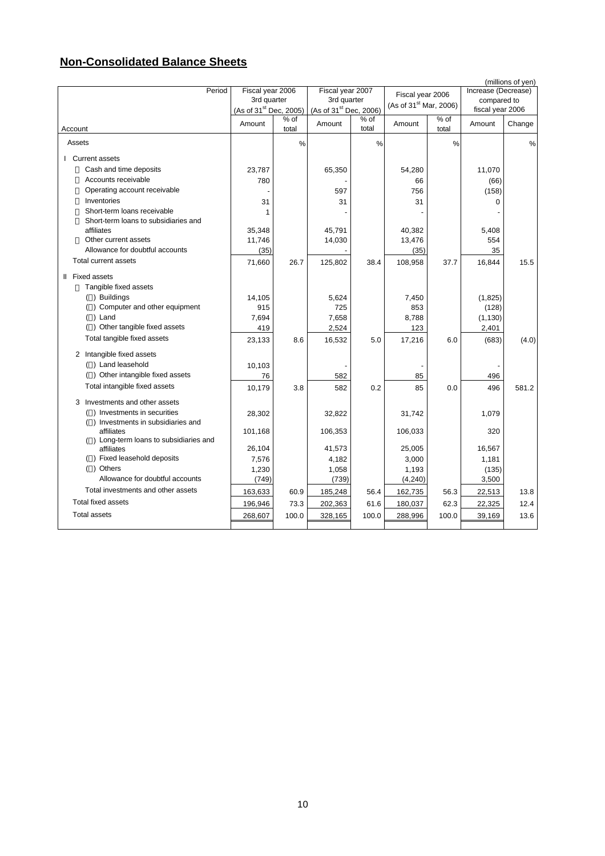## **Non-Consolidated Balance Sheets**

|                                                      |                                                                                      |       |                                 |       |                                    |       |                                    | (millions of yen) |
|------------------------------------------------------|--------------------------------------------------------------------------------------|-------|---------------------------------|-------|------------------------------------|-------|------------------------------------|-------------------|
| Period                                               | Fiscal year 2006                                                                     |       | Fiscal year 2007<br>3rd quarter |       | Fiscal year 2006                   |       | Increase (Decrease)<br>compared to |                   |
|                                                      | 3rd quarter<br>(As of 31 <sup>st</sup> Dec, 2005) (As of 31 <sup>st</sup> Dec, 2006) |       |                                 |       | (As of 31 <sup>st</sup> Mar, 2006) |       | fiscal year 2006                   |                   |
|                                                      |                                                                                      | % of  |                                 | % of  |                                    | % of  |                                    |                   |
| Account                                              | Amount                                                                               | total | Amount                          | total | Amount                             | total | Amount                             | Change            |
| Assets                                               |                                                                                      | %     |                                 | %     |                                    | %     |                                    | $\%$              |
| <b>Current assets</b>                                |                                                                                      |       |                                 |       |                                    |       |                                    |                   |
| Cash and time deposits                               | 23,787                                                                               |       | 65,350                          |       | 54,280                             |       | 11,070                             |                   |
| Accounts receivable                                  | 780                                                                                  |       |                                 |       | 66                                 |       | (66)                               |                   |
| Operating account receivable                         |                                                                                      |       | 597                             |       | 756                                |       | (158)                              |                   |
| Inventories                                          | 31                                                                                   |       | 31                              |       | 31                                 |       | 0                                  |                   |
| Short-term loans receivable                          | 1                                                                                    |       |                                 |       |                                    |       |                                    |                   |
| Short-term loans to subsidiaries and                 |                                                                                      |       |                                 |       |                                    |       |                                    |                   |
| affiliates                                           | 35,348                                                                               |       | 45,791                          |       | 40,382                             |       | 5,408                              |                   |
| Other current assets                                 | 11,746                                                                               |       | 14,030                          |       | 13,476                             |       | 554                                |                   |
| Allowance for doubtful accounts                      | (35)                                                                                 |       |                                 |       | (35)                               |       | 35                                 |                   |
| Total current assets                                 | 71,660                                                                               | 26.7  | 125,802                         | 38.4  | 108,958                            | 37.7  | 16,844                             | 15.5              |
| II Fixed assets                                      |                                                                                      |       |                                 |       |                                    |       |                                    |                   |
| Tangible fixed assets                                |                                                                                      |       |                                 |       |                                    |       |                                    |                   |
| () Buildings                                         | 14,105                                                                               |       | 5,624                           |       | 7,450                              |       | (1,825)                            |                   |
| () Computer and other equipment                      | 915                                                                                  |       | 725                             |       | 853                                |       | (128)                              |                   |
| $( )$ Land                                           | 7,694                                                                                |       | 7,658                           |       | 8,788                              |       | (1, 130)                           |                   |
| () Other tangible fixed assets                       | 419                                                                                  |       | 2,524                           |       | 123                                |       | 2,401                              |                   |
| Total tangible fixed assets                          | 23,133                                                                               | 8.6   | 16,532                          | 5.0   | 17,216                             | 6.0   | (683)                              | (4.0)             |
| 2 Intangible fixed assets                            |                                                                                      |       |                                 |       |                                    |       |                                    |                   |
| () Land leasehold                                    | 10,103                                                                               |       |                                 |       |                                    |       |                                    |                   |
| () Other intangible fixed assets                     | 76                                                                                   |       | 582                             |       | 85                                 |       | 496                                |                   |
| Total intangible fixed assets                        | 10,179                                                                               | 3.8   | 582                             | 0.2   | 85                                 | 0.0   | 496                                | 581.2             |
| 3 Investments and other assets                       |                                                                                      |       |                                 |       |                                    |       |                                    |                   |
| () Investments in securities                         | 28,302                                                                               |       | 32,822                          |       | 31,742                             |       | 1,079                              |                   |
| () Investments in subsidiaries and<br>affiliates     | 101,168                                                                              |       | 106,353                         |       | 106,033                            |       | 320                                |                   |
| () Long-term loans to subsidiaries and<br>affiliates | 26,104                                                                               |       | 41,573                          |       | 25,005                             |       | 16,567                             |                   |
| () Fixed leasehold deposits                          | 7,576                                                                                |       | 4,182                           |       | 3,000                              |       | 1,181                              |                   |
| () Others                                            | 1,230                                                                                |       | 1,058                           |       | 1,193                              |       | (135)                              |                   |
| Allowance for doubtful accounts                      | (749)                                                                                |       | (739)                           |       | (4, 240)                           |       | 3,500                              |                   |
| Total investments and other assets                   | 163,633                                                                              | 60.9  | 185,248                         | 56.4  | 162,735                            | 56.3  | 22,513                             | 13.8              |
| Total fixed assets                                   | 196,946                                                                              | 73.3  | 202,363                         | 61.6  | 180,037                            | 62.3  | 22,325                             | 12.4              |
| <b>Total assets</b>                                  | 268,607                                                                              | 100.0 | 328,165                         | 100.0 | 288,996                            | 100.0 | 39,169                             | 13.6              |
|                                                      |                                                                                      |       |                                 |       |                                    |       |                                    |                   |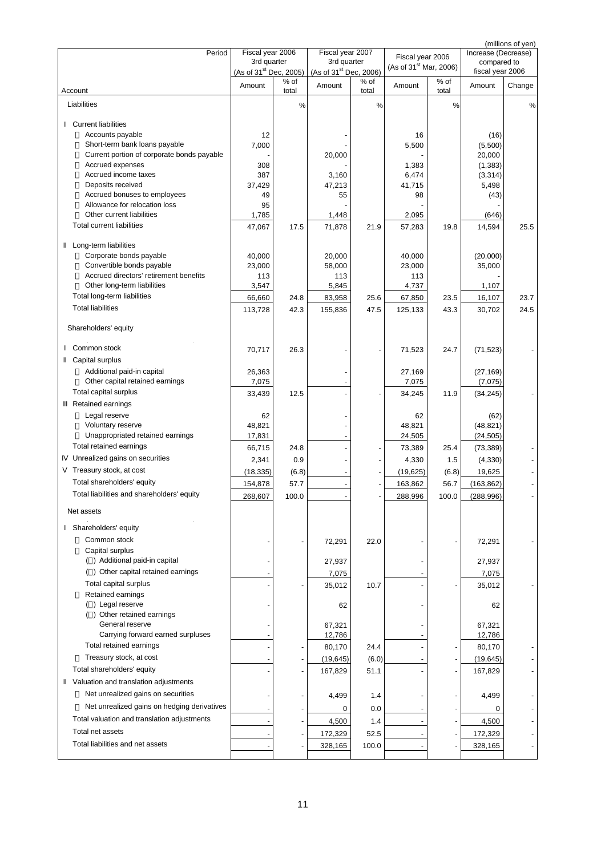| Period                                                                                                                                                                                                                                                                                                       | Fiscal year 2006<br>3rd quarter<br>(As of 31 <sup>st</sup> Dec, 2005) |               | Fiscal year 2007<br>3rd quarter<br>(As of 31 <sup>st</sup> Dec, 2006) |               | Fiscal year 2006<br>(As of 31 <sup>st</sup> Mar, 2006) |               | Increase (Decrease)<br>compared to<br>fiscal year 2006             | (millions of yen) |
|--------------------------------------------------------------------------------------------------------------------------------------------------------------------------------------------------------------------------------------------------------------------------------------------------------------|-----------------------------------------------------------------------|---------------|-----------------------------------------------------------------------|---------------|--------------------------------------------------------|---------------|--------------------------------------------------------------------|-------------------|
| Account                                                                                                                                                                                                                                                                                                      | Amount                                                                | % of<br>total | Amount                                                                | % of<br>total | Amount                                                 | % of<br>total | Amount                                                             | Change            |
| Liabilities                                                                                                                                                                                                                                                                                                  |                                                                       | %             |                                                                       | %             |                                                        | %             |                                                                    | %                 |
| <b>Current liabilities</b><br>$\mathbf{I}$<br>Accounts payable<br>Short-term bank loans payable<br>Current portion of corporate bonds payable<br>Accrued expenses<br>Accrued income taxes<br>Deposits received<br>Accrued bonuses to employees<br>Allowance for relocation loss<br>Other current liabilities | 12<br>7,000<br>308<br>387<br>37,429<br>49<br>95                       |               | 20,000<br>3,160<br>47,213<br>55                                       |               | 16<br>5,500<br>1,383<br>6,474<br>41,715<br>98          |               | (16)<br>(5,500)<br>20,000<br>(1, 383)<br>(3, 314)<br>5,498<br>(43) |                   |
| <b>Total current liabilities</b>                                                                                                                                                                                                                                                                             | 1,785<br>47,067                                                       | 17.5          | 1,448<br>71,878                                                       | 21.9          | 2,095<br>57,283                                        | 19.8          | (646)<br>14,594                                                    | 25.5              |
| Il Long-term liabilities<br>Corporate bonds payable<br>Convertible bonds payable<br>Accrued directors' retirement benefits<br>Other long-term liabilities<br>Total long-term liabilities<br><b>Total liabilities</b>                                                                                         | 40,000<br>23,000<br>113<br>3,547<br>66,660<br>113,728                 | 24.8<br>42.3  | 20,000<br>58,000<br>113<br>5,845<br>83,958<br>155,836                 | 25.6<br>47.5  | 40,000<br>23,000<br>113<br>4,737<br>67,850<br>125,133  | 23.5<br>43.3  | (20,000)<br>35,000<br>1,107<br>16,107<br>30,702                    | 23.7<br>24.5      |
|                                                                                                                                                                                                                                                                                                              |                                                                       |               |                                                                       |               |                                                        |               |                                                                    |                   |
| Shareholders' equity<br>I Common stock                                                                                                                                                                                                                                                                       | 70,717                                                                | 26.3          |                                                                       |               | 71,523                                                 | 24.7          | (71, 523)                                                          |                   |
| II Capital surplus<br>Additional paid-in capital<br>Other capital retained earnings<br>Total capital surplus                                                                                                                                                                                                 | 26,363<br>7,075<br>33,439                                             | 12.5          |                                                                       |               | 27,169<br>7,075<br>34,245                              | 11.9          | (27, 169)<br>(7,075)<br>(34, 245)                                  |                   |
| III Retained earnings<br>Legal reserve<br>Voluntary reserve<br>Unappropriated retained earnings                                                                                                                                                                                                              | 62<br>48,821<br>17,831                                                |               |                                                                       |               | 62<br>48,821<br>24,505                                 |               | (62)<br>(48, 821)<br>(24, 505)                                     |                   |
| Total retained earnings                                                                                                                                                                                                                                                                                      | 66,715                                                                | 24.8          |                                                                       |               | 73,389                                                 | 25.4          | (73, 389)                                                          |                   |
| IV Unrealized gains on securities<br>V Treasury stock, at cost                                                                                                                                                                                                                                               | 2,341                                                                 | 0.9           |                                                                       |               | 4,330                                                  | 1.5           | (4, 330)                                                           |                   |
| Total shareholders' equity                                                                                                                                                                                                                                                                                   | (18, 335)                                                             | (6.8)<br>57.7 |                                                                       |               | (19, 625)                                              | (6.8)         | 19,625<br>(163, 862)                                               |                   |
| Total liabilities and shareholders' equity                                                                                                                                                                                                                                                                   | 154,878<br>268 607                                                    | 100.0         |                                                                       |               | 163,862<br>288,996                                     | 56.7<br>1000  | (288, 996)                                                         |                   |
| Net assets                                                                                                                                                                                                                                                                                                   |                                                                       |               |                                                                       |               |                                                        |               |                                                                    |                   |
| I Shareholders' equity                                                                                                                                                                                                                                                                                       |                                                                       |               |                                                                       |               |                                                        |               |                                                                    |                   |
| Common stock<br>Capital surplus                                                                                                                                                                                                                                                                              |                                                                       |               | 72,291                                                                | 22.0          |                                                        |               | 72,291                                                             |                   |
| () Additional paid-in capital                                                                                                                                                                                                                                                                                |                                                                       |               | 27,937                                                                |               |                                                        |               | 27,937                                                             |                   |
| () Other capital retained earnings<br>Total capital surplus                                                                                                                                                                                                                                                  |                                                                       |               | 7,075                                                                 | 10.7          |                                                        |               | 7,075                                                              |                   |
| Retained earnings<br>() Legal reserve                                                                                                                                                                                                                                                                        |                                                                       |               | 35,012<br>62                                                          |               |                                                        |               | 35,012<br>62                                                       |                   |
| () Other retained earnings<br>General reserve                                                                                                                                                                                                                                                                |                                                                       |               | 67,321                                                                |               |                                                        |               | 67,321                                                             |                   |
| Carrying forward earned surpluses<br>Total retained earnings                                                                                                                                                                                                                                                 |                                                                       |               | 12,786                                                                |               |                                                        |               | 12,786                                                             |                   |
| Treasury stock, at cost                                                                                                                                                                                                                                                                                      |                                                                       |               | 80,170                                                                | 24.4          |                                                        |               | 80,170                                                             |                   |
| Total shareholders' equity                                                                                                                                                                                                                                                                                   |                                                                       |               | (19, 645)<br>167,829                                                  | (6.0)<br>51.1 |                                                        |               | (19, 645)<br>167,829                                               |                   |
| II Valuation and translation adjustments                                                                                                                                                                                                                                                                     |                                                                       |               |                                                                       |               |                                                        |               |                                                                    |                   |
| Net unrealized gains on securities                                                                                                                                                                                                                                                                           |                                                                       |               | 4,499                                                                 | 1.4           |                                                        |               | 4,499                                                              |                   |
| Net unrealized gains on hedging derivatives                                                                                                                                                                                                                                                                  |                                                                       |               | 0                                                                     | 0.0           |                                                        |               | 0                                                                  |                   |
| Total valuation and translation adjustments                                                                                                                                                                                                                                                                  |                                                                       |               | 4,500                                                                 | 1.4           |                                                        |               | 4,500                                                              |                   |
| Total net assets                                                                                                                                                                                                                                                                                             |                                                                       |               | 172,329                                                               | 52.5          |                                                        |               | 172,329                                                            |                   |
| Total liabilities and net assets                                                                                                                                                                                                                                                                             |                                                                       |               | 328,165                                                               | 100.0         |                                                        |               | 328,165                                                            |                   |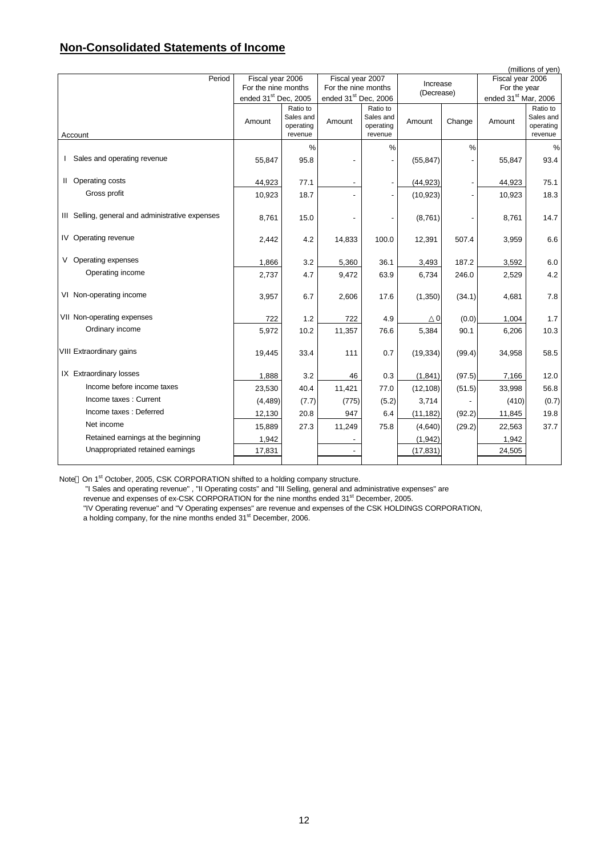### **Non-Consolidated Statements of Income**

| (millions of yen)                                |                                  |                        |                                  |                        |           |               |                                  |                        |  |
|--------------------------------------------------|----------------------------------|------------------------|----------------------------------|------------------------|-----------|---------------|----------------------------------|------------------------|--|
| Period                                           | Fiscal year 2006                 |                        | Fiscal year 2007                 |                        | Increase  |               | Fiscal year 2006                 |                        |  |
|                                                  |                                  | For the nine months    |                                  | For the nine months    |           | (Decrease)    | For the year                     |                        |  |
|                                                  | ended 31 <sup>st</sup> Dec, 2005 |                        | ended 31 <sup>st</sup> Dec, 2006 |                        |           |               | ended 31 <sup>st</sup> Mar, 2006 |                        |  |
|                                                  |                                  | Ratio to               |                                  | Ratio to               |           |               |                                  | Ratio to               |  |
|                                                  | Amount                           | Sales and<br>operating | Amount                           | Sales and<br>operating | Amount    | Change        | Amount                           | Sales and<br>operating |  |
| Account                                          |                                  | revenue                |                                  | revenue                |           |               |                                  | revenue                |  |
|                                                  |                                  | %                      |                                  | %                      |           | $\frac{0}{0}$ |                                  | $\%$                   |  |
| I Sales and operating revenue                    | 55,847                           | 95.8                   |                                  |                        | (55, 847) |               | 55,847                           | 93.4                   |  |
|                                                  |                                  |                        |                                  |                        |           |               |                                  |                        |  |
| II Operating costs                               | 44,923                           | 77.1                   |                                  |                        | (44, 923) |               | 44,923                           | 75.1                   |  |
| Gross profit                                     | 10,923                           | 18.7                   |                                  |                        | (10, 923) |               | 10,923                           | 18.3                   |  |
|                                                  |                                  |                        |                                  |                        |           |               |                                  |                        |  |
| III Selling, general and administrative expenses | 8,761                            | 15.0                   |                                  |                        | (8,761)   |               | 8,761                            | 14.7                   |  |
|                                                  |                                  |                        |                                  |                        |           |               |                                  |                        |  |
| IV Operating revenue                             | 2,442                            | 4.2                    | 14,833                           | 100.0                  | 12,391    | 507.4         | 3,959                            | 6.6                    |  |
|                                                  |                                  |                        |                                  |                        |           |               |                                  |                        |  |
| V Operating expenses                             | 1,866                            | 3.2                    | 5,360                            | 36.1                   | 3,493     | 187.2         | 3,592                            | 6.0                    |  |
| Operating income                                 | 2,737                            | 4.7                    | 9,472                            | 63.9                   | 6,734     | 246.0         | 2,529                            | 4.2                    |  |
|                                                  |                                  |                        |                                  |                        |           |               |                                  |                        |  |
| VI Non-operating income                          | 3,957                            | 6.7                    | 2,606                            | 17.6                   | (1, 350)  | (34.1)        | 4,681                            | 7.8                    |  |
|                                                  |                                  |                        |                                  |                        |           |               |                                  |                        |  |
| VII Non-operating expenses                       | 722                              | 1.2                    | 722                              | 4.9                    | 0         | (0.0)         | 1,004                            | 1.7                    |  |
| Ordinary income                                  | 5,972                            | 10.2                   | 11,357                           | 76.6                   | 5,384     | 90.1          | 6,206                            | 10.3                   |  |
|                                                  |                                  |                        |                                  |                        |           |               |                                  |                        |  |
| VIII Extraordinary gains                         | 19,445                           | 33.4                   | 111                              | 0.7                    | (19, 334) | (99.4)        | 34,958                           | 58.5                   |  |
|                                                  |                                  |                        |                                  |                        |           |               |                                  |                        |  |
| IX Extraordinary losses                          | 1,888                            | 3.2                    | 46                               | 0.3                    | (1, 841)  | (97.5)        | 7,166                            | 12.0                   |  |
| Income before income taxes                       | 23,530                           | 40.4                   | 11,421                           | 77.0                   | (12, 108) | (51.5)        | 33,998                           | 56.8                   |  |
| Income taxes: Current                            | (4, 489)                         | (7.7)                  | (775)                            | (5.2)                  | 3,714     |               | (410)                            | (0.7)                  |  |
| Income taxes : Deferred                          |                                  |                        |                                  |                        |           |               |                                  |                        |  |
|                                                  | 12,130                           | 20.8                   | 947                              | 6.4                    | (11, 182) | (92.2)        | 11,845                           | 19.8                   |  |
| Net income                                       | 15,889                           | 27.3                   | 11,249                           | 75.8                   | (4,640)   | (29.2)        | 22,563                           | 37.7                   |  |
| Retained earnings at the beginning               | 1,942                            |                        |                                  |                        | (1, 942)  |               | 1,942                            |                        |  |
| Unappropriated retained earnings                 | 17,831                           |                        |                                  |                        | (17, 831) |               | 24,505                           |                        |  |
|                                                  |                                  |                        |                                  |                        |           |               |                                  |                        |  |

Note On 1<sup>st</sup> October, 2005, CSK CORPORATION shifted to a holding company structure.

"I Sales and operating revenue" , "II Operating costs" and "III Selling, general and administrative expenses" are

revenue and expenses of ex-CSK CORPORATION for the nine months ended 31<sup>st</sup> December, 2005.

"IV Operating revenue" and "V Operating expenses" are revenue and expenses of the CSK HOLDINGS CORPORATION,

a holding company, for the nine months ended 31<sup>st</sup> December, 2006.